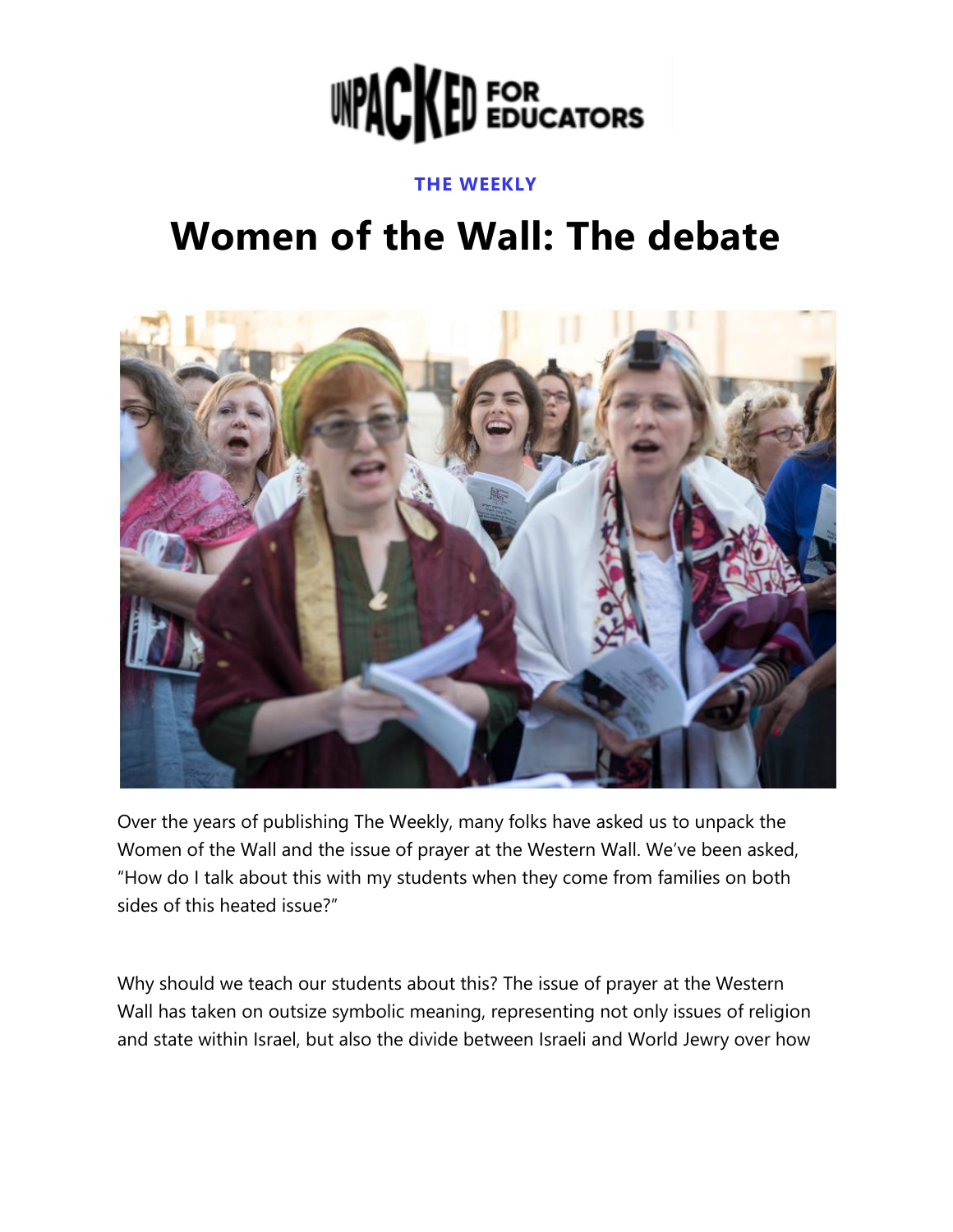

#### **THE WEEKLY**

# **Women of the Wall: The debate**



Over the years of publishing The Weekly, many folks have asked us to unpack the Women of the Wall and the issue of prayer at the Western Wall. We've been asked, "How do I talk about this with my students when they come from families on both sides of this heated issue?"

Why should we teach our students about this? The issue of prayer at the Western Wall has taken on outsize symbolic meaning, representing not only issues of religion and state within Israel, but also the divide between Israeli and World Jewry over how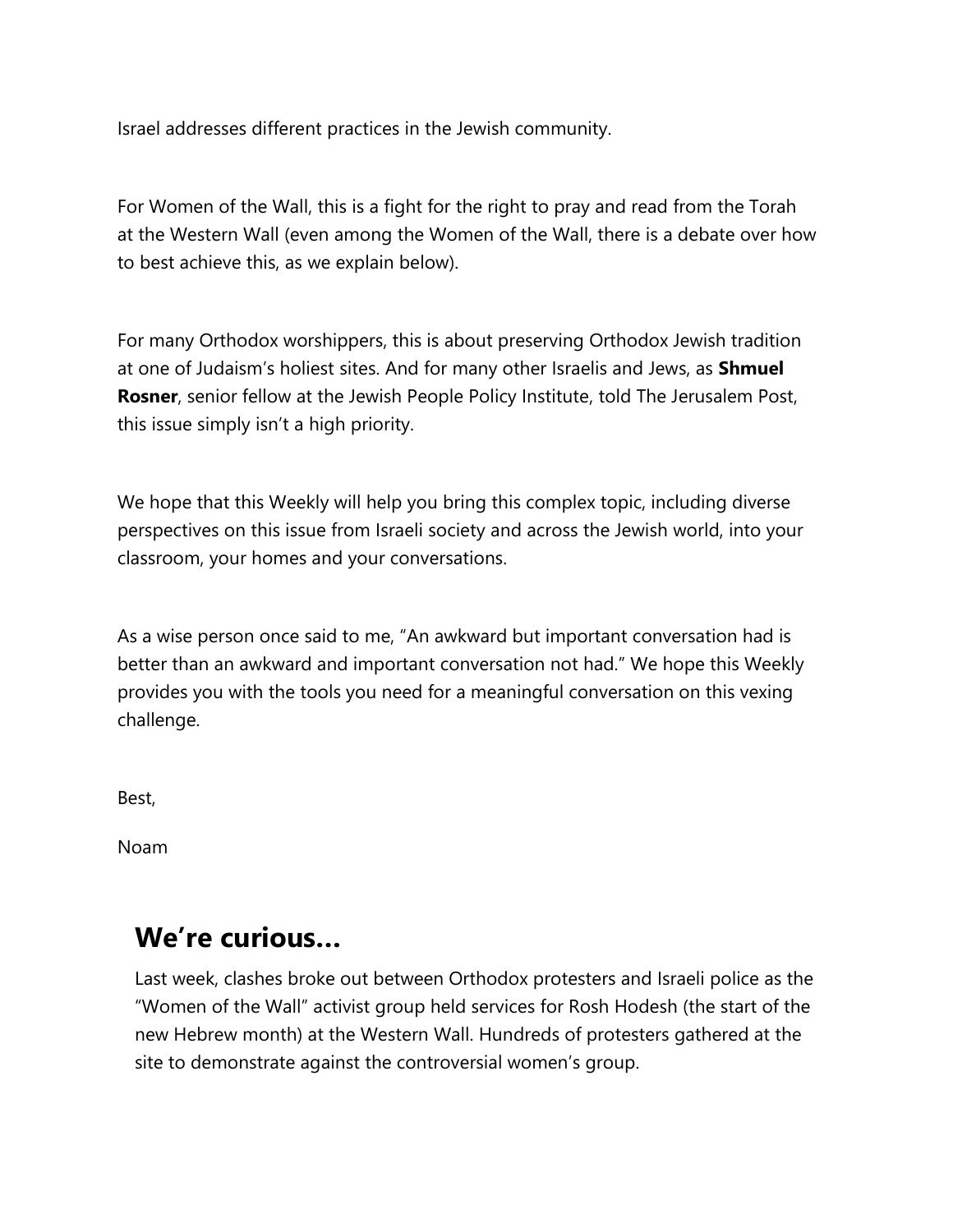Israel addresses different practices in the Jewish community.

For Women of the Wall, this is a fight for the right to pray and read from the Torah at the Western Wall (even among the Women of the Wall, there is a debate over how to best achieve this, as we explain below).

For many Orthodox worshippers, this is about preserving Orthodox Jewish tradition at one of Judaism's holiest sites. And for many other Israelis and Jews, as **Shmuel Rosner**, senior fellow at the Jewish People Policy Institute, told The [Jerusalem Post,](https://content.opendormedia.org/e/634291/ious-conflict-in-israel-668051/k6qx1/293808280?h=QgC83Zhc02BcG-AMKki8zwdu6sHlI6DzjqEc8Q5KToc) this issue simply isn't a high priority.

We hope that this Weekly will help you bring this complex topic, including diverse perspectives on this issue from Israeli society and across the Jewish world, into your classroom, your homes and your conversations.

As a wise person once said to me, "An awkward but important conversation had is better than an awkward and important conversation not had." We hope this Weekly provides you with the tools you need for a meaningful conversation on this vexing challenge.

Best,

Noam

### **We're curious…**

Last week, clashes broke out between Orthodox protesters and Israeli police as the "Women of the Wall" activist group held services for Rosh Hodesh (the start of the new Hebrew month) at the Western Wall. Hundreds of protesters gathered at the site to demonstrate against the controversial women's group.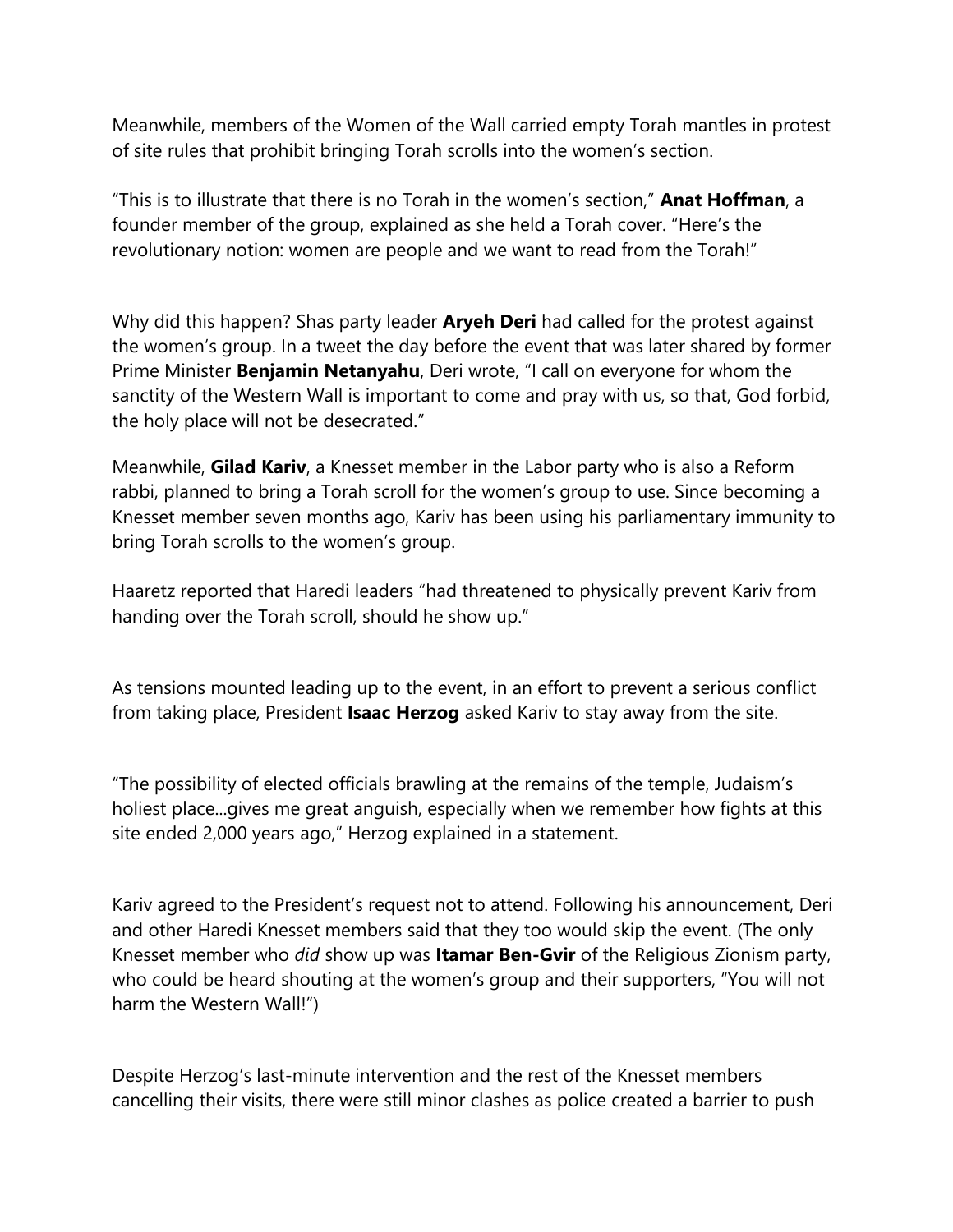Meanwhile, members of the Women of the Wall carried empty Torah mantles in protest of site rules that prohibit bringing Torah scrolls into the women's section.

"This is to illustrate that there is no Torah in the women's section," **Anat Hoffman**, a founder member of the group, [explained](https://content.opendormedia.org/e/634291/thewall-videos-573061413977756/k6qx5/293808280?h=QgC83Zhc02BcG-AMKki8zwdu6sHlI6DzjqEc8Q5KToc) as she held a Torah cover. "Here's the revolutionary notion: women are people and we want to read from the Torah!"

Why did this happen? Shas party leader **Aryeh Deri** had called for the protest against the women's group. In a [tweet](https://content.opendormedia.org/e/634291/eri-status-1456198888646483973/k6qx7/293808280?h=QgC83Zhc02BcG-AMKki8zwdu6sHlI6DzjqEc8Q5KToc) the day before the event that was later shared by former Prime Minister **Benjamin Netanyahu**, Deri wrote, "I call on everyone for whom the sanctity of the Western Wall is important to come and pray with us, so that, God forbid, the holy place will not be desecrated."

Meanwhile, **Gilad Kariv**, a Knesset member in the Labor party who is also a Reform rabbi, planned to bring a Torah scroll for the women's group to use. Since becoming a Knesset member seven months ago, Kariv has been using his parliamentary immunity to bring Torah scrolls to the women's group.

[Haaretz](https://content.opendormedia.org/e/634291/ome-to-western-wall-1-10356515/k6qx9/293808280?h=QgC83Zhc02BcG-AMKki8zwdu6sHlI6DzjqEc8Q5KToc) reported that Haredi leaders "had threatened to physically prevent Kariv from handing over the Torah scroll, should he show up."

As tensions mounted leading up to the event, in an effort to prevent a serious conflict from taking place, President **Isaac Herzog** asked Kariv to stay away from the site.

"The possibility of elected officials brawling at the remains of the temple, Judaism's holiest place...gives me great anguish, especially when we remember how fights at this site ended 2,000 years ago," Herzog explained in a statement.

Kariv [agreed](https://content.opendormedia.org/e/634291/lad-status-1456396628072488964/k6qxc/293808280?h=QgC83Zhc02BcG-AMKki8zwdu6sHlI6DzjqEc8Q5KToc) to the President's request not to attend. Following his announcement, Deri and other Haredi Knesset members said that they too would skip the event. (The only Knesset member who *did* show up was **Itamar Ben-Gvir** of the Religious Zionism party, who could be heard shouting at the women's group and their supporters, "You will not harm the Western Wall!")

Despite Herzog's last-minute intervention and the rest of the Knesset members cancelling their visits, there were still minor clashes as police created a barrier to push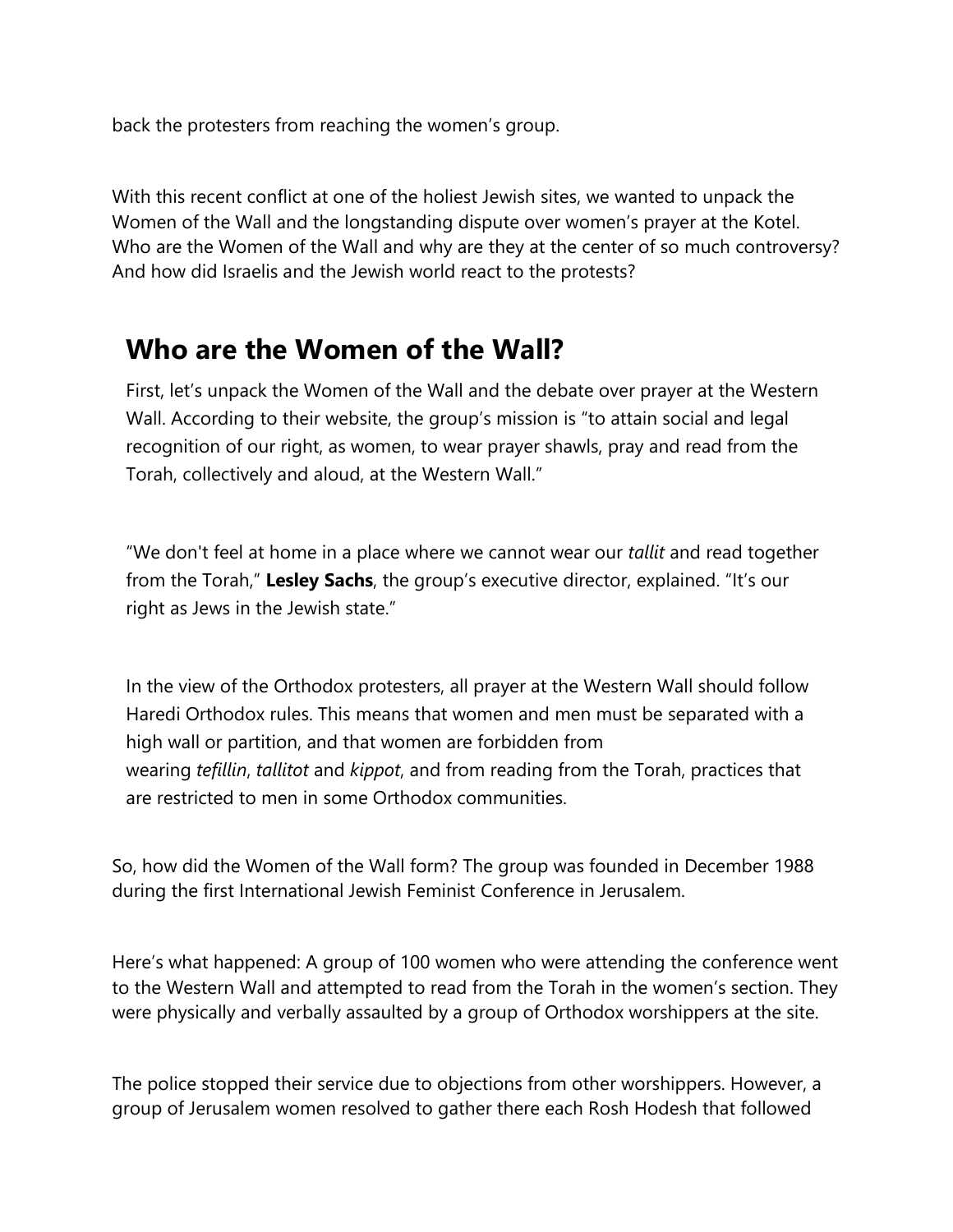back the protesters from reaching the women's group.

With this recent conflict at one of the holiest Jewish sites, we wanted to unpack the Women of the Wall and the longstanding dispute over women's prayer at the Kotel. Who are the Women of the Wall and why are they at the center of so much controversy? And how did Israelis and the Jewish world react to the protests?

#### **Who are the Women of the Wall?**

First, let's unpack the Women of the Wall and the debate over prayer at the Western Wall. According to their [website](https://content.opendormedia.org/e/634291/2021-11-09/k6qxh/293808280?h=QgC83Zhc02BcG-AMKki8zwdu6sHlI6DzjqEc8Q5KToc), the group's mission is "to attain social and legal recognition of our right, as women, to wear prayer shawls, pray and read from the Torah, collectively and aloud, at the Western Wall."

"We don't feel at home in a place where we cannot wear our *tallit* and read together from the Torah," **Lesley Sachs**, the group's executive director, [explained](https://content.opendormedia.org/e/634291/watch-v-A3FHk9EiQ4Q-t-139s/k6qxk/293808280?h=QgC83Zhc02BcG-AMKki8zwdu6sHlI6DzjqEc8Q5KToc). "It's our right as Jews in the Jewish state."

In the view of the Orthodox protesters, all prayer at the Western Wall should follow Haredi Orthodox rules. This means that women and men must be separated with a high wall or partition, and that women are forbidden from wearing *tefillin*, *tallitot* and *kippot*, and from reading from the Torah, practices that are restricted to men in some Orthodox communities.

So, how did the Women of the Wall form? The group was founded in December 1988 during the first International Jewish Feminist Conference in Jerusalem.

Here's what happened: A group of 100 women who were attending the conference went to the Western Wall and attempted to read from the Torah in the women's section. They were physically and verbally assaulted by a group of Orthodox worshippers at the site.

The police stopped their service due to objections from other worshippers. However, a group of Jerusalem women resolved to gather there each Rosh Hodesh that followed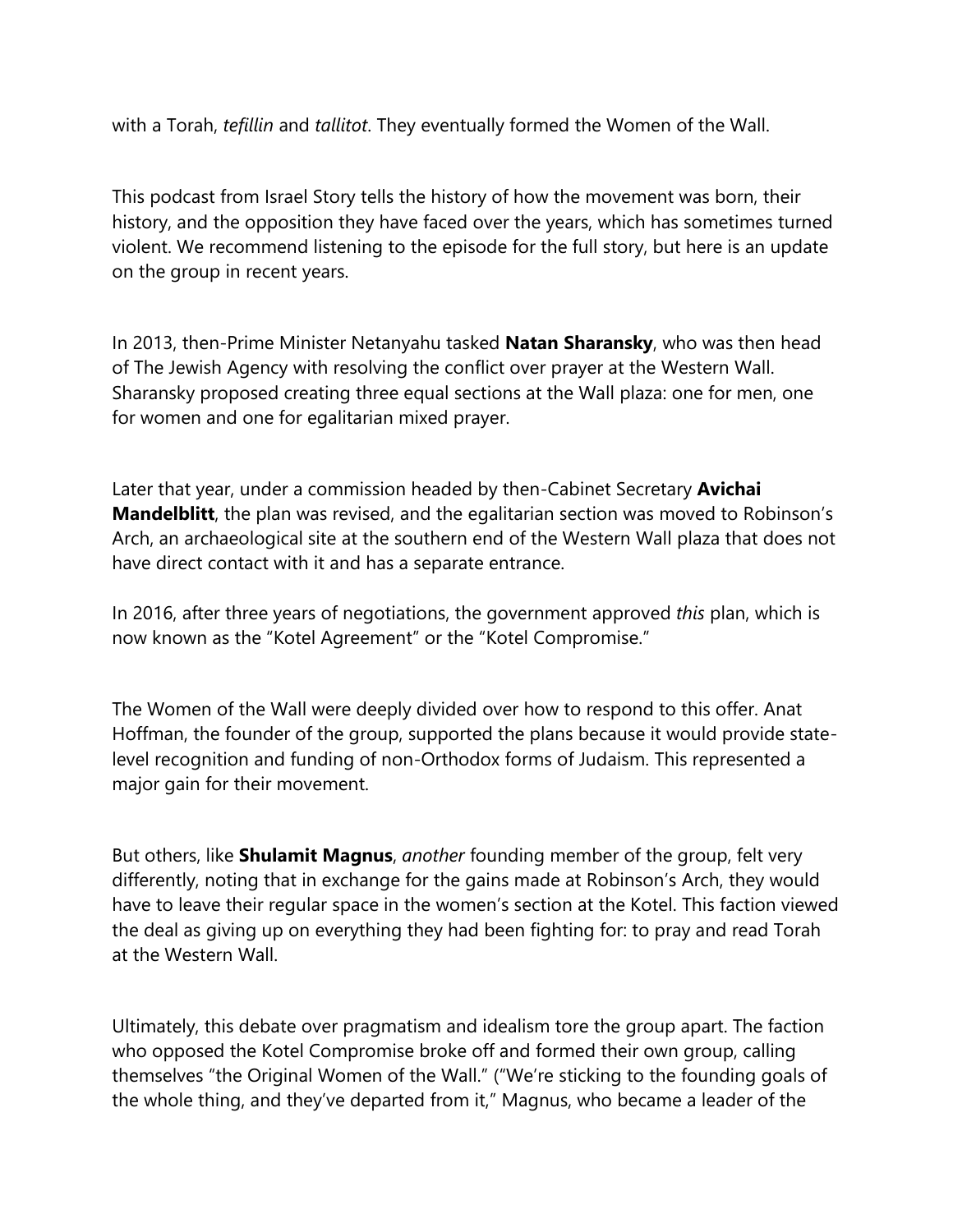with a Torah, *tefillin* and *tallitot*. They eventually formed the Women of the Wall.

This podcast from [Israel Story](https://content.opendormedia.org/e/634291/-part-iv-this-wall-is-my-wall-/k6qxp/293808280?h=QgC83Zhc02BcG-AMKki8zwdu6sHlI6DzjqEc8Q5KToc) tells the history of how the movement was born, their history, and the opposition they have faced over the years, which has sometimes turned violent. We recommend listening to the episode for the full story, but here is an update on the group in recent years.

In 2013, then-Prime Minister Netanyahu tasked **Natan Sharansky**, who was then head of The Jewish Agency with resolving the conflict over prayer at the Western Wall. Sharansky proposed creating three equal sections at the Wall plaza: one for men, one for women and one for egalitarian mixed prayer.

Later that year, under a commission headed by then-Cabinet Secretary **Avichai Mandelblitt**, the plan was revised, and the egalitarian section was moved to Robinson's Arch, an archaeological site at the southern end of the Western Wall plaza that does not have direct contact with it and has a separate entrance.

In 2016, after three years of negotiations, the government approved *this* plan, which is now known as the "Kotel Agreement" or the "Kotel Compromise."

The Women of the Wall were deeply divided over how to respond to this offer. Anat Hoffman, the founder of the group, supported the plans because it would provide statelevel recognition and funding of non-Orthodox forms of Judaism. This represented a major gain for their movement.

But others, like **Shulamit Magnus**, *another* founding member of the group, felt very differently, noting that in exchange for the gains made at Robinson's Arch, they would have to leave their regular space in the women's section at the Kotel. This faction viewed the deal as giving up on everything they had been fighting for: to pray and read Torah at the Western Wall.

Ultimately, this debate over pragmatism and idealism tore the group apart. The faction who opposed the Kotel Compromise broke off and formed their own group, calling themselves "the Original Women of the Wall." ("We're sticking to the founding goals of the whole thing, and they've departed from it," Magnus, who became a leader of the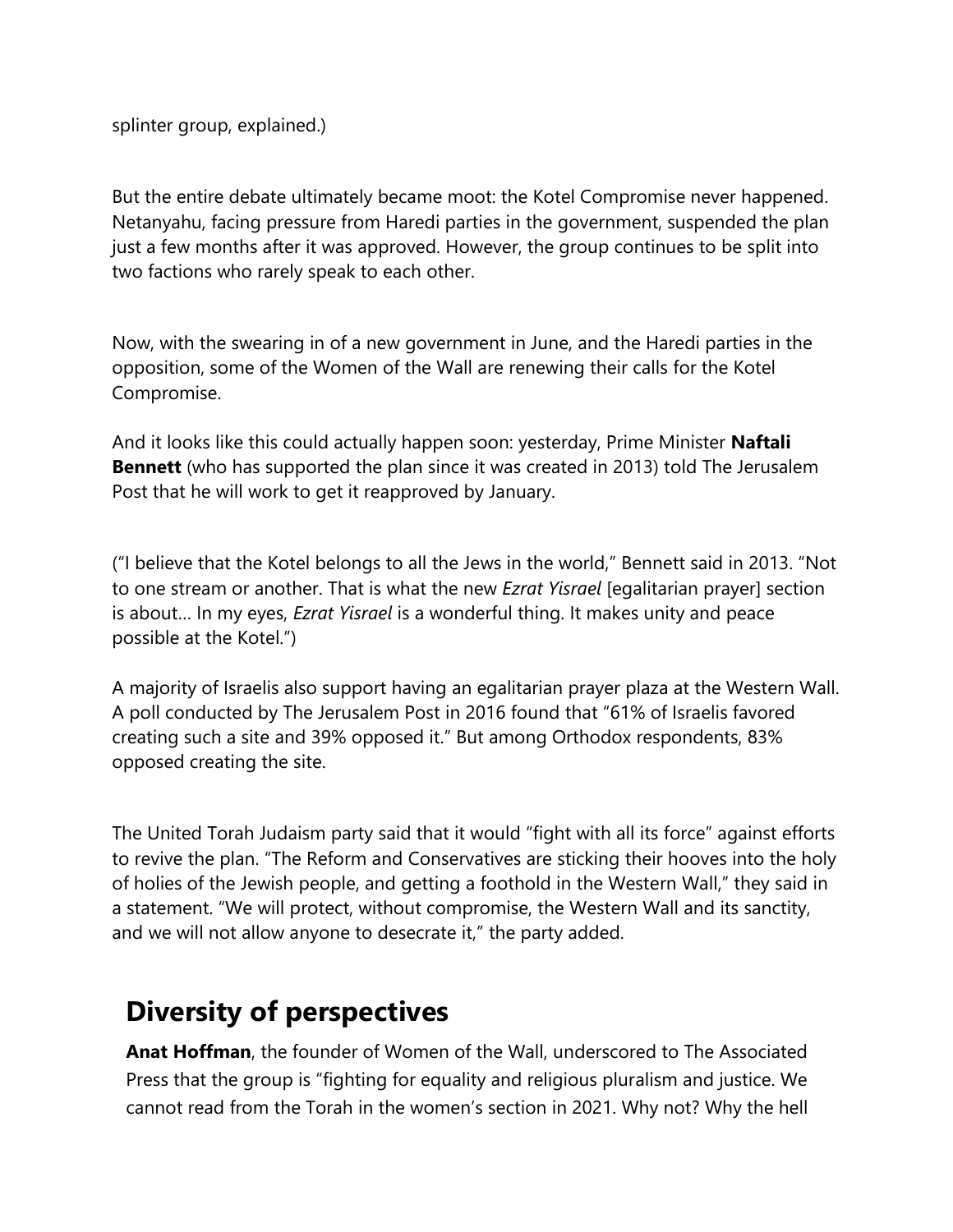splinter group, [explained.](https://content.opendormedia.org/e/634291/-part-iv-this-wall-is-my-wall-/k6qxp/293808280?h=QgC83Zhc02BcG-AMKki8zwdu6sHlI6DzjqEc8Q5KToc))

But the entire debate ultimately became moot: the Kotel Compromise never happened. Netanyahu, facing pressure from Haredi parties in the government, suspended the plan just a few months after it was approved. However, the group continues to be split into two factions who rarely speak to each other.

Now, with the swearing in of a new government in June, and the Haredi parties in the opposition, some of the Women of the Wall are [renewing their calls](https://content.opendormedia.org/e/634291/-be-implemented-opinion-683946/k6qxr/293808280?h=QgC83Zhc02BcG-AMKki8zwdu6sHlI6DzjqEc8Q5KToc) for the Kotel Compromise.

And it looks like this could actually happen soon: yesterday, Prime Minister **Naftali Bennett** (who has [supported](https://content.opendormedia.org/e/634291/News-News-aspx-171294/k6qxt/293808280?h=QgC83Zhc02BcG-AMKki8zwdu6sHlI6DzjqEc8Q5KToc) the plan since it was created in 2013) told The [Jerusalem](https://content.opendormedia.org/e/634291/tern-wall-deal-liberman-684360/k6qxw/293808280?h=QgC83Zhc02BcG-AMKki8zwdu6sHlI6DzjqEc8Q5KToc)  [Post](https://content.opendormedia.org/e/634291/tern-wall-deal-liberman-684360/k6qxw/293808280?h=QgC83Zhc02BcG-AMKki8zwdu6sHlI6DzjqEc8Q5KToc) that he will work to get it reapproved by January.

("I believe that the Kotel belongs to all the Jews in the world," Bennett said in 2013. "Not to one stream or another. That is what the new *Ezrat Yisrael* [egalitarian prayer] section is about… In my eyes, *Ezrat Yisrael* is a wonderful thing. It makes unity and peace possible at the Kotel.")

A majority of Israelis also support having an egalitarian prayer plaza at the Western Wall. A poll conducted by The [Jerusalem Post](https://content.opendormedia.org/e/634291/otel-conflict-editorial-684405/k6qxy/293808280?h=QgC83Zhc02BcG-AMKki8zwdu6sHlI6DzjqEc8Q5KToc) in 2016 found that "61% of Israelis favored creating such a site and 39% opposed it." But among Orthodox respondents, 83% opposed creating the site.

The United Torah Judaism party said that it would "fight with all its force" against efforts to revive the plan. "The Reform and Conservatives are sticking their hooves into the holy of holies of the Jewish people, and getting a foothold in the Western Wall," they said in a statement. "We will protect, without compromise, the Western Wall and its sanctity, and we will not allow anyone to desecrate it," the party added.

### **Diversity of perspectives**

**Anat Hoffman**, the founder of Women of the Wall, underscored to The [Associated](https://content.opendormedia.org/e/634291/c-bd6f-da376f47304e-story-html/k6qy3/293808280?h=QgC83Zhc02BcG-AMKki8zwdu6sHlI6DzjqEc8Q5KToc)  [Press](https://content.opendormedia.org/e/634291/c-bd6f-da376f47304e-story-html/k6qy3/293808280?h=QgC83Zhc02BcG-AMKki8zwdu6sHlI6DzjqEc8Q5KToc) that the group is "fighting for equality and religious pluralism and justice. We cannot read from the Torah in the women's section in 2021. Why not? Why the hell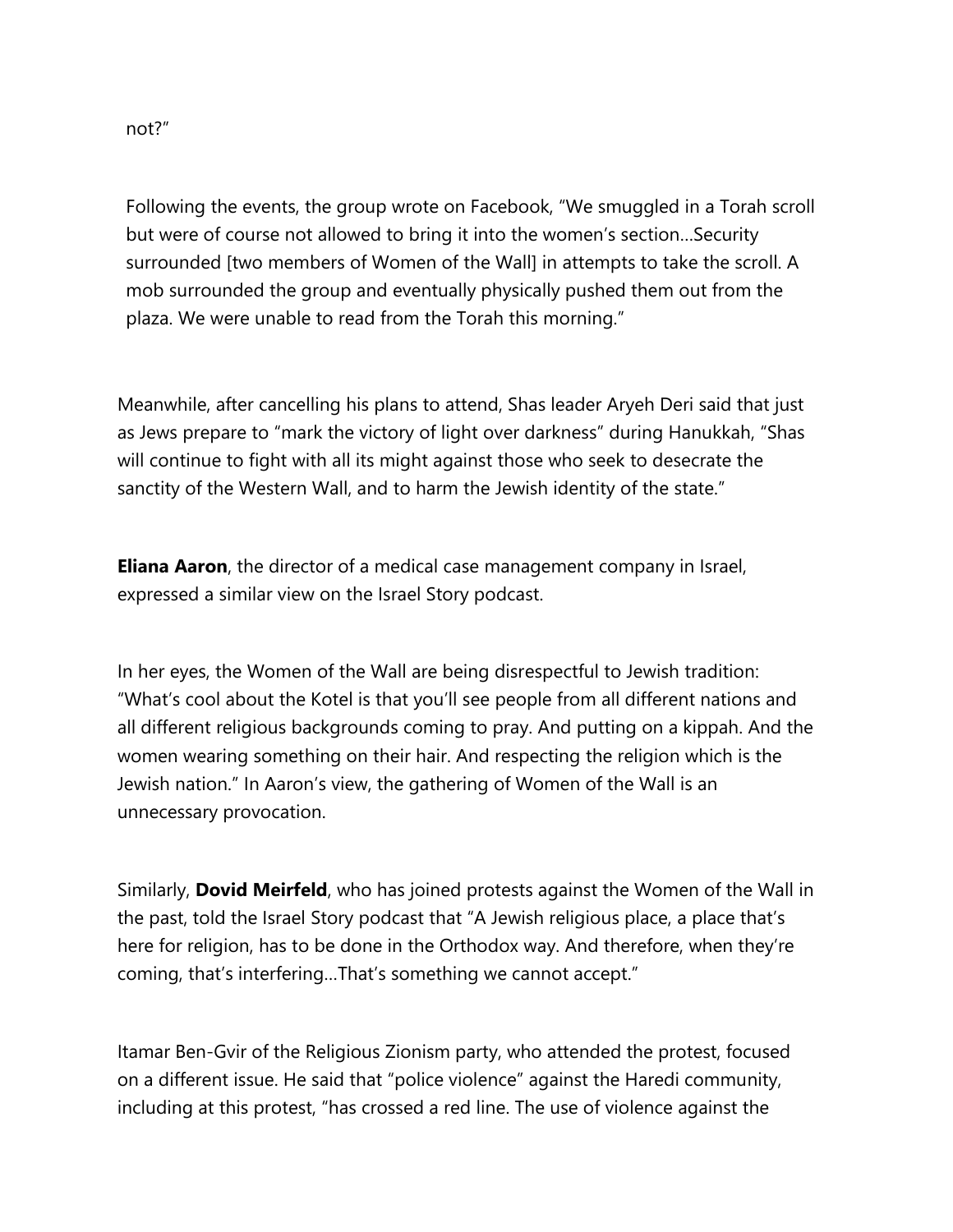Following the events, the group wrote on Facebook, "We smuggled in a Torah scroll but were of course not allowed to bring it into the women's section…Security surrounded [two members of Women of the Wall] in attempts to take the scroll. A mob surrounded the group and eventually physically pushed them out from the plaza. We were unable to read from the Torah this morning."

Meanwhile, after cancelling his plans to attend, Shas leader Aryeh Deri said that just as Jews prepare to "mark the victory of light over darkness" during Hanukkah, "Shas will continue to fight with all its might against those who seek to desecrate the sanctity of the Western Wall, and to harm the Jewish identity of the state."

**Eliana Aaron**, the director of a medical case management company in Israel, expressed a similar view on the Israel Story podcast.

In her eyes, the Women of the Wall are being disrespectful to Jewish tradition: "What's cool about the Kotel is that you'll see people from all different nations and all different religious backgrounds coming to pray. And putting on a kippah. And the women wearing something on their hair. And respecting the religion which is the Jewish nation." In Aaron's view, the gathering of Women of the Wall is an unnecessary provocation.

Similarly, **Dovid Meirfeld**, who has joined protests against the Women of the Wall in the past, told the Israel Story [podcast](https://content.opendormedia.org/e/634291/-part-iv-this-wall-is-my-wall-/k6qxp/293808280?h=QgC83Zhc02BcG-AMKki8zwdu6sHlI6DzjqEc8Q5KToc) that "A Jewish religious place, a place that's here for religion, has to be done in the Orthodox way. And therefore, when they're coming, that's interfering…That's something we cannot accept."

Itamar Ben-Gvir of the Religious Zionism party, who attended the protest, focused on a different issue. He said that "police violence" against the Haredi community, including at this protest, "has crossed a red line. The use of violence against the

not?"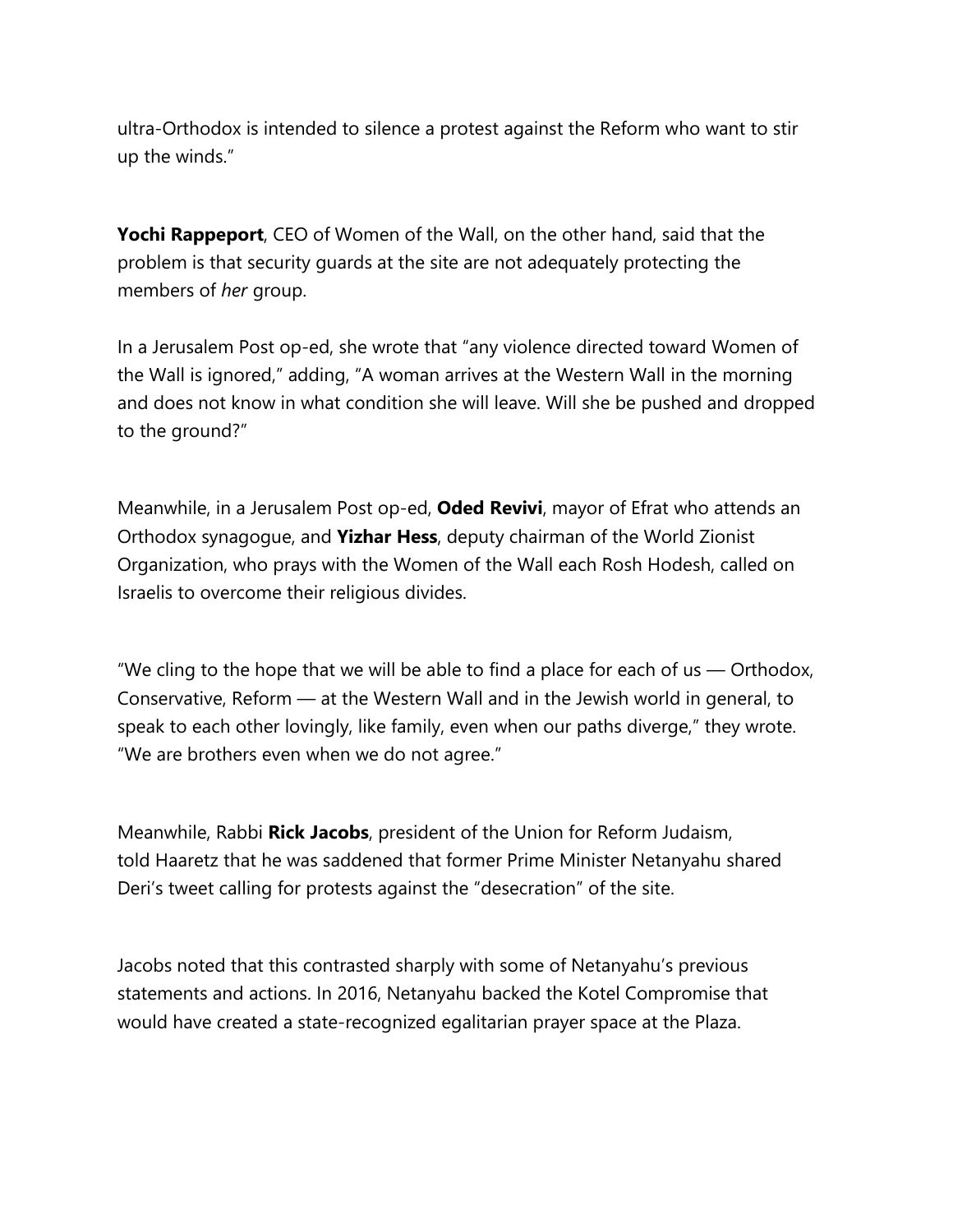ultra-Orthodox is intended to silence a protest against the Reform who want to stir up the winds."

**Yochi Rappeport**, CEO of Women of the Wall, on the other hand, said that the problem is that security guards at the site are not adequately protecting the members of *her* group.

In a [Jerusalem Post](https://content.opendormedia.org/e/634291/-be-implemented-opinion-683946/k6qxr/293808280?h=QgC83Zhc02BcG-AMKki8zwdu6sHlI6DzjqEc8Q5KToc) op-ed, she wrote that "any violence directed toward Women of the Wall is ignored," adding, "A woman arrives at the Western Wall in the morning and does not know in what condition she will leave. Will she be pushed and dropped to the ground?"

Meanwhile, in a [Jerusalem Post](https://content.opendormedia.org/e/634291/vercome-divides-opinion-684040/k6qy5/293808280?h=QgC83Zhc02BcG-AMKki8zwdu6sHlI6DzjqEc8Q5KToc) op-ed, **Oded Revivi**, mayor of Efrat who attends an Orthodox synagogue, and **Yizhar Hess**, deputy chairman of the World Zionist Organization, who prays with the Women of the Wall each Rosh Hodesh, called on Israelis to overcome their religious divides.

"We cling to the hope that we will be able to find a place for each of us  $-$  Orthodox, Conservative, Reform — at the Western Wall and in the Jewish world in general, to speak to each other lovingly, like family, even when our paths diverge," they wrote. "We are brothers even when we do not agree."

Meanwhile, Rabbi **Rick Jacobs**, president of the Union for Reform Judaism, told [Haaretz](https://content.opendormedia.org/e/634291/al-jewish-activists-1-10354938/k6qy7/293808280?h=QgC83Zhc02BcG-AMKki8zwdu6sHlI6DzjqEc8Q5KToc) that he was saddened that former Prime Minister Netanyahu shared Deri's tweet calling for protests against the "desecration" of the site.

Jacobs noted that this contrasted sharply with some of Netanyahu's previous statements and actions. In 2016, Netanyahu backed the Kotel Compromise that would have created a state-recognized egalitarian prayer space at the Plaza.